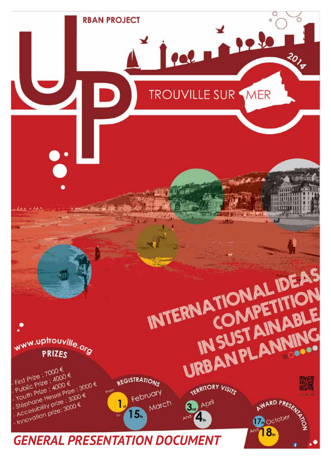## *GENERAL PRESENTATION DOCUMENT*

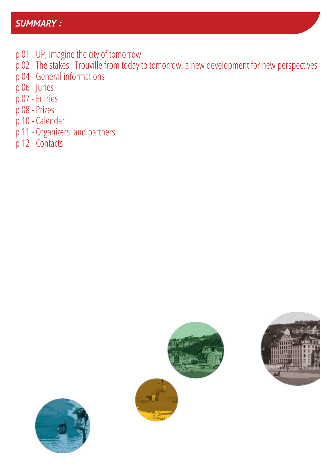#### *SUMMARY :*

- p 01 UP, imagine the city of tomorrow
- p 02 The stakes : Trouville from today to tomorrow, a new development for new perspectives
- p 04 General informations
- p 06 Juries
- p 07 Entries
- p 08 Prizes
- p 10 Calendar
- p 11 Organizers and partners
- p 12 Contacts





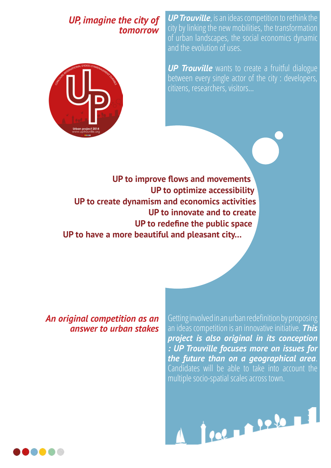#### *UP, imagine the city of tomorrow*



*UP Trouville*, is an ideas competition to rethink the city by linking the new mobilities, the transformation of urban landscapes, the social economics dynamic and the evolution of uses.

**UP Trouville** wants to create a fruitful dialogue between every single actor of the city : developers, citizens, researchers, visitors…

 **UP to improve flows and movements UP to optimize accessibility UP to create dynamism and economics activities UP to innovate and to create UP to redefine the public space UP to have a more beautiful and pleasant city…**

*An original competition as an answer to urban stakes* Getting involved in an urban redefinition by proposing an ideas competition is an innovative initiative. *This project is also original in its conception : UP Trouville focuses more on issues for the future than on a geographical area*. Candidates will be able to take into account the multiple socio-spatial scales across town.



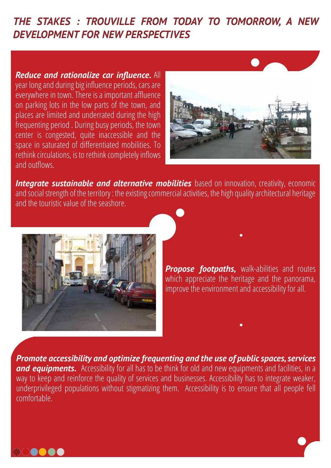#### *THE STAKES : TROUVILLE FROM TODAY TO TOMORROW, A NEW DEVELOPMENT FOR NEW PERSPECTIVES*

*Reduce and rationalize car influence.* All year long and during big influence periods, cars are everywhere in town. There is a important affluence on parking lots in the low parts of the town, and places are limited and underrated during the high frequenting period . During busy periods, the town center is congested, quite inaccessible and the space in saturated of differentiated mobilities. To rethink circulations, is to rethink completely inflows and outflows.



**Integrate sustainable and alternative mobilities** based on innovation, creativity, economic and social strength of the territory : the existing commercial activities, the high quality architectural heritage and the touristic value of the seashore.



**Propose footpaths, walk-abilities and routes** which appreciate the heritage and the panorama, improve the environment and accessibility for all.

*Promote accessibility and optimize frequenting and the use of public spaces, services*  **and equipments.** Accessibility for all has to be think for old and new equipments and facilities, in a way to keep and reinforce the quality of services and businesses. Accessibility has to integrate weaker, underprivileged populations without stigmatizing them. Accessibility is to ensure that all people fell comfortable.

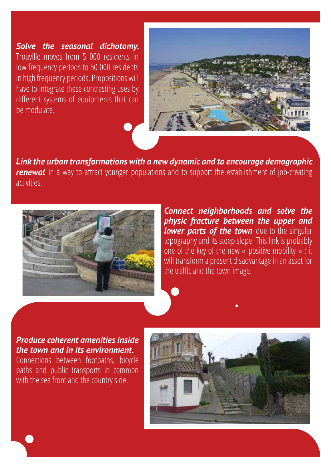*Solve the seasonal dichotomy.*  Trouville moves from 5 000 residents in low frequency periods to 50 000 residents in high frequency periods. Propositions will have to integrate these contrasting uses by different systems of equipments that can be modulate.



*Link the urban transformations with a new dynamic and to encourage demographic*  **renewal** in a way to attract younger populations and to support the establishment of job-creating activities.



*Connect neighborhoods and solve the physic fracture between the upper and*  **lower parts of the town** due to the singular topography and its steep slope. This link is probably one of the key of the new « positive mobility » : it will transform a present disadvantage in an asset for the traffic and the town image.

#### *Produce coherent amenities inside the town and in its environment.*

Connections between footpaths, bicycle paths and public transports in common with the sea front and the country side.

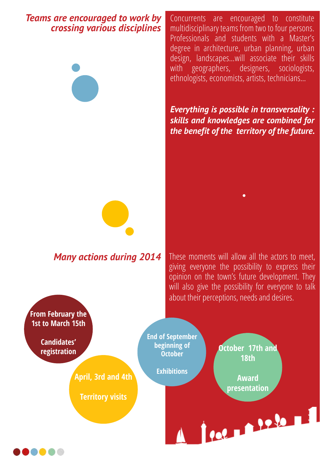#### *Teams are encouraged to work by crossing various disciplines*



Concurrents are encouraged to constitute multidisciplinary teams from two to four persons. Professionals and students with a Master's degree in architecture, urban planning, urban design, landscapes…will associate their skills with geographers, designers, sociologists, ethnologists, economists, artists, technicians…

*Everything is possible in transversality : skills and knowledges are combined for the benefit of the territory of the future.*



**Many actions during 2014** These moments will allow all the actors to meet, giving everyone the possibility to express their opinion on the town's future development. They will also give the possibility for everyone to talk about their perceptions, needs and desires.

**From February the 1st to March 15th End of September Candidates' beginning of October 17th and registration October 18th Exhibitions April, 3rd and 4th Award presentationTerritory visits** POLITICAL PARALLE

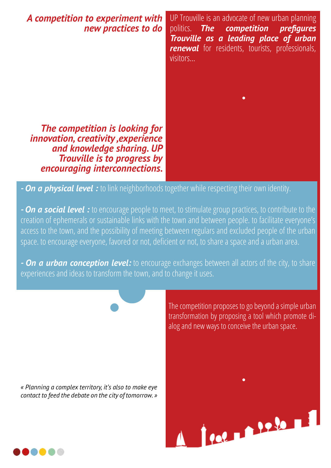#### *A competition to experiment with new practices to do*

*The competition is looking for innovation, creativity ,experience and knowledge sharing. UP Trouville is to progress by encouraging interconnections.* UP Trouville is an advocate of new urban planning politics. *The competition prefigures Trouville as a leading place of urban renewal* for residents, tourists, professionals, visitors…



*- On a physical level :* to link neighborhoods together while respecting their own identity.

*- On a social level :* to encourage people to meet, to stimulate group practices, to contribute to the creation of ephemerals or sustainable links with the town and between people. to facilitate everyone's access to the town, and the possibility of meeting between regulars and excluded people of the urban space. to encourage everyone, favored or not, deficient or not, to share a space and a urban area.

*- On a urban conception level:* to encourage exchanges between all actors of the city, to share experiences and ideas to transform the town, and to change it uses.

*« Planning a complex territory, it's also to make eye contact to feed the debate on the city of tomorrow. »*

The competition proposes to go beyond a simple urban transformation by proposing a tool which promote dialog and new ways to conceive the urban space.

Political Prior Li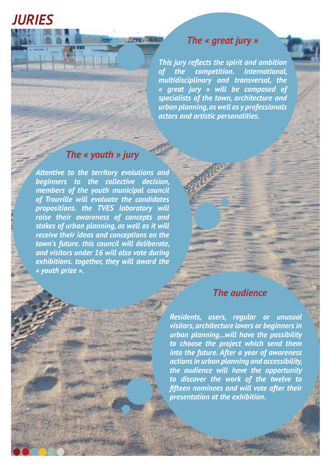## *JURIES*

#### *The « great jury »*

*This jury reflects the spirit and ambition of the competition. International, multidisciplinary and transversal, the « great jury » will be composed of specialists of the town, architecture and urban planning, as well as y professionals actors and artistic personalities.*

#### *The « youth » jury*

Antwir

**CENT ALBO** 

*Attentive to the territory evolutions and beginners to the collective decision, members of the youth municipal council of Trouville will evaluate the candidates propositions. the TVES laboratory will raise their awareness of concepts and stakes of urban planning, as well as it will receive their ideas and conceptions on the town's future. this council will deliberate, and visitors under 16 will also vote during exhibitions. together, they will award the « youth prize ».*

#### *The audience*

*Residents, users, regular or unusual visitors, architecture lovers or beginners in urban planning…will have the possibility to choose the project which send them into the future. After a year of awareness actions in urban planning and accessibility, the audience will have the opportunity to discover the work of the twelve to fifteen nominees and will vote after their presentation at the exhibition.*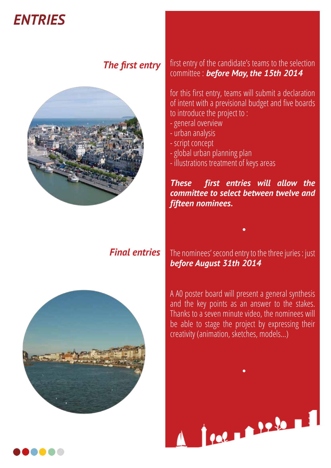## *ENTRIES*

### *The first entry*



#### first entry of the candidate's teams to the selection committee : *before May, the 15th 2014*

for this first entry, teams will submit a declaration of intent with a previsional budget and five boards to introduce the project to :

- general overview
- urban analysis
- script concept
- global urban planning plan
- illustrations treatment of keys areas

#### *These first entries will allow the committee to select between twelve and fifteen nominees.*

#### *Final entries*

The nominees' second entry to the three juries : just *before August 31th 2014*



A A0 poster board will present a general synthesis and the key points as an answer to the stakes. Thanks to a seven minute video, the nominees will be able to stage the project by expressing their creativity (animation, sketches, models…)

Political Property

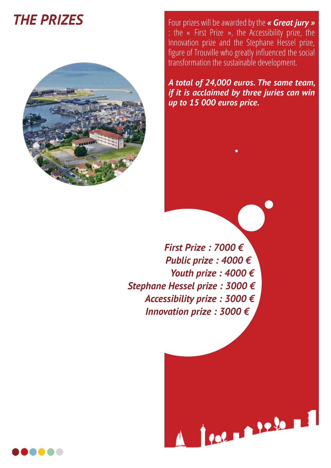## *THE PRIZES*



Four prizes will be awarded by the *« Great jury »*  : the « First Prize », the Accessibility prize, the Innovation prize and the Stephane Hessel prize, figure of Trouville who greatly influenced the social transformation the sustainable development.

*A total of 24,000 euros. The same team, if it is acclaimed by three juries can win up to 15 000 euros price.*

POLITICAL PROPERTY

 *First Prize : 7000 € Public prize : 4000 € Youth prize : 4000 € Stephane Hessel prize : 3000 € Accessibility prize : 3000 € Innovation prize : 3000 €*

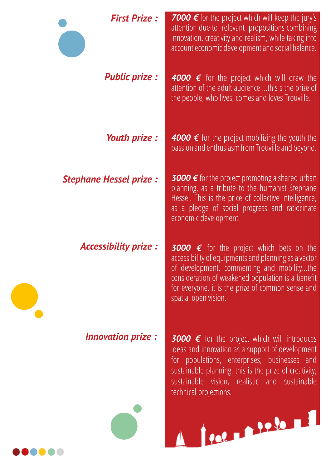| <b>First Prize:</b>           | <b>7000</b> $\epsilon$ for the project which will keep the jury's<br>attention due to relevant propositions combining<br>innovation, creativity and realism, while taking into<br>account economic development and social balance.                                                                               |
|-------------------------------|------------------------------------------------------------------------------------------------------------------------------------------------------------------------------------------------------------------------------------------------------------------------------------------------------------------|
| <b>Public prize:</b>          | <b>4000 <math>\epsilon</math></b> for the project which will draw the<br>attention of the adult audience this s the prize of<br>the people, who lives, comes and loves Trouville.                                                                                                                                |
| <b>Youth prize:</b>           | 4000 € for the project mobilizing the youth the<br>passion and enthusiasm from Trouville and beyond.                                                                                                                                                                                                             |
| <b>Stephane Hessel prize:</b> | <b>3000</b> $\epsilon$ for the project promoting a shared urban<br>planning, as a tribute to the humanist Stephane<br>Hessel. This is the price of collective intelligence,<br>as a pledge of social progress and ratiocinate<br>economic development.                                                           |
| <b>Accessibility prize:</b>   | <b>3000 <math>\epsilon</math></b> for the project which bets on the<br>accessibility of equipments and planning as a vector<br>of development, commenting and mobilitythe<br>consideration of weakened population is a benefit<br>for everyone. it is the prize of common sense and<br>spatial open vision.      |
| <b>Innovation prize:</b>      | <b>3000 <math>\epsilon</math></b> for the project which will introduces<br>ideas and innovation as a support of development<br>for populations, enterprises, businesses and<br>sustainable planning. this is the prize of creativity,<br>sustainable vision, realistic and sustainable<br>technical projections. |
|                               | 100 1226 1                                                                                                                                                                                                                                                                                                       |

......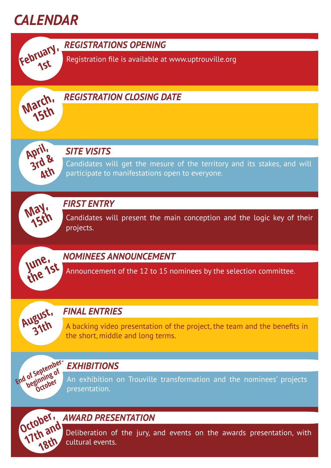

**1st**

*REGISTRATIONS OPENING* **February,** 

Registration file is available at www.uptrouville.org



#### *REGISTRATION CLOSING DATE*



#### *SITE VISITS*

Candidates will get the mesure of the territory and its stakes, and will participate to manifestations open to everyone.



#### *FIRST ENTRY*

Candidates will present the main conception and the logic key of their projects.



**August, 31th**

#### *NOMINEES ANNOUNCEMENT*

Announcement of the 12 to 15 nominees by the selection committee.

#### *FINAL ENTRIES*

A backing video presentation of the project, the team and the benefits in the short, middle and long terms.

#### *EXHIBITIONS*

An exhibition on Trouville transformation and the nominees' projects presentation. **End of September-**



of Septer of<br>Deginning of<br>Degiober

# October, *AWARD PRESENTATION*

Deliberation of the jury, and events on the awards presentation, with cultural events.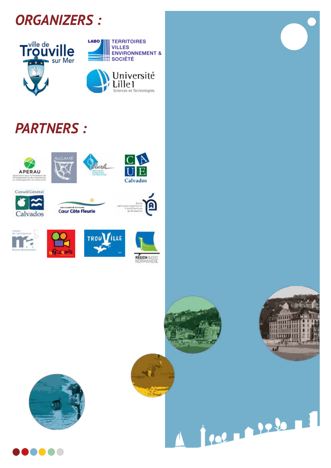



## *PARTNERS :*





















Palma Palama



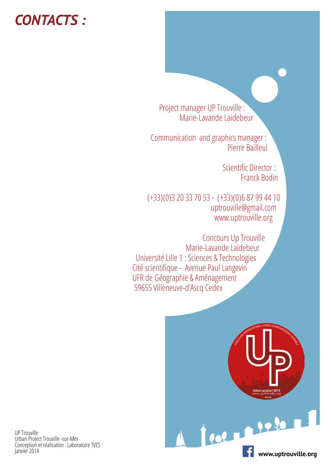## *CONTACTS :*

 Project manager UP Trouville : Marie-Lavande Laidebeur

 Communication and graphics manager : Pierre Bailleul

> Scientific Director : Franck Bodin

 (+33)(0)3 20 33 70 53 - (+33)(0)6 87 99 44 10 uptrouville@gmail.com www.uptrouville.org

 Concours Up Trouville Marie-Lavande Laidebeur Université Lille 1 : Sciences & Technologies Cité scientifique - Avenue Paul Langevin UFR de Géographie & Aménagement 59655 Villeneuve-d'Ascq Cedex



UP Trouville Urban Project Trouville -sur-Mer Conception et réalisation : Laboratoire TVES Janvier 2014